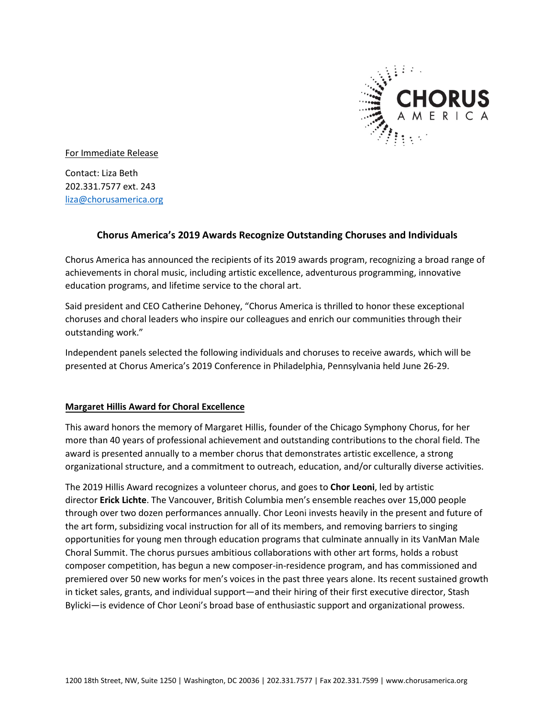

For Immediate Release

Contact: Liza Beth 202.331.7577 ext. 243 [liza@chorusamerica.org](mailto:liza@chorusamerica.org)

# **Chorus America's 2019 Awards Recognize Outstanding Choruses and Individuals**

Chorus America has announced the recipients of its 2019 awards program, recognizing a broad range of achievements in choral music, including artistic excellence, adventurous programming, innovative education programs, and lifetime service to the choral art.

Said president and CEO Catherine Dehoney, "Chorus America is thrilled to honor these exceptional choruses and choral leaders who inspire our colleagues and enrich our communities through their outstanding work."

Independent panels selected the following individuals and choruses to receive awards, which will be presented at Chorus America's 2019 Conference in Philadelphia, Pennsylvania held June 26-29.

## **Margaret Hillis Award for Choral Excellence**

This award honors the memory of Margaret Hillis, founder of the Chicago Symphony Chorus, for her more than 40 years of professional achievement and outstanding contributions to the choral field. The award is presented annually to a member chorus that demonstrates artistic excellence, a strong organizational structure, and a commitment to outreach, education, and/or culturally diverse activities.

The 2019 Hillis Award recognizes a volunteer chorus, and goes to **Chor Leoni**, led by artistic director **Erick Lichte**. The Vancouver, British Columbia men's ensemble reaches over 15,000 people through over two dozen performances annually. Chor Leoni invests heavily in the present and future of the art form, subsidizing vocal instruction for all of its members, and removing barriers to singing opportunities for young men through education programs that culminate annually in its VanMan Male Choral Summit. The chorus pursues ambitious collaborations with other art forms, holds a robust composer competition, has begun a new composer-in-residence program, and has commissioned and premiered over 50 new works for men's voices in the past three years alone. Its recent sustained growth in ticket sales, grants, and individual support—and their hiring of their first executive director, Stash Bylicki—is evidence of Chor Leoni's broad base of enthusiastic support and organizational prowess.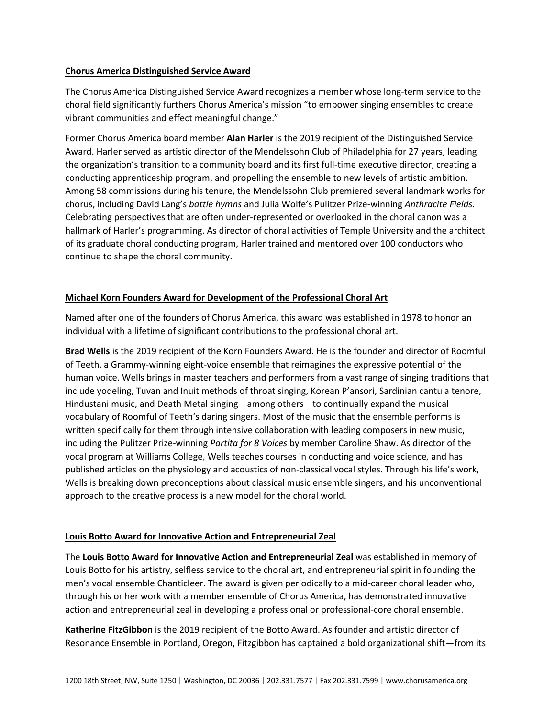#### **Chorus America Distinguished Service Award**

The Chorus America Distinguished Service Award recognizes a member whose long-term service to the choral field significantly furthers Chorus America's mission "to empower singing ensembles to create vibrant communities and effect meaningful change."

Former Chorus America board member **Alan Harler** is the 2019 recipient of the Distinguished Service Award. Harler served as artistic director of the Mendelssohn Club of Philadelphia for 27 years, leading the organization's transition to a community board and its first full-time executive director, creating a conducting apprenticeship program, and propelling the ensemble to new levels of artistic ambition. Among 58 commissions during his tenure, the Mendelssohn Club premiered several landmark works for chorus, including David Lang's *battle hymns* and Julia Wolfe's Pulitzer Prize-winning *Anthracite Fields*. Celebrating perspectives that are often under-represented or overlooked in the choral canon was a hallmark of Harler's programming. As director of choral activities of Temple University and the architect of its graduate choral conducting program, Harler trained and mentored over 100 conductors who continue to shape the choral community.

## **Michael Korn Founders Award for Development of the Professional Choral Art**

Named after one of the founders of Chorus America, this award was established in 1978 to honor an individual with a lifetime of significant contributions to the professional choral art.

**Brad Wells** is the 2019 recipient of the Korn Founders Award. He is the founder and director of Roomful of Teeth, a Grammy-winning eight-voice ensemble that reimagines the expressive potential of the human voice. Wells brings in master teachers and performers from a vast range of singing traditions that include yodeling, Tuvan and Inuit methods of throat singing, Korean P'ansori, Sardinian cantu a tenore, Hindustani music, and Death Metal singing—among others—to continually expand the musical vocabulary of Roomful of Teeth's daring singers. Most of the music that the ensemble performs is written specifically for them through intensive collaboration with leading composers in new music, including the Pulitzer Prize-winning *Partita for 8 Voices* by member Caroline Shaw. As director of the vocal program at Williams College, Wells teaches courses in conducting and voice science, and has published articles on the physiology and acoustics of non-classical vocal styles. Through his life's work, Wells is breaking down preconceptions about classical music ensemble singers, and his unconventional approach to the creative process is a new model for the choral world.

## **Louis Botto Award for Innovative Action and Entrepreneurial Zeal**

The **Louis Botto Award for Innovative Action and Entrepreneurial Zeal** was established in memory of Louis Botto for his artistry, selfless service to the choral art, and entrepreneurial spirit in founding the men's vocal ensemble Chanticleer. The award is given periodically to a mid-career choral leader who, through his or her work with a member ensemble of Chorus America, has demonstrated innovative action and entrepreneurial zeal in developing a professional or professional-core choral ensemble.

**Katherine FitzGibbon** is the 2019 recipient of the Botto Award. As founder and artistic director of Resonance Ensemble in Portland, Oregon, Fitzgibbon has captained a bold organizational shift—from its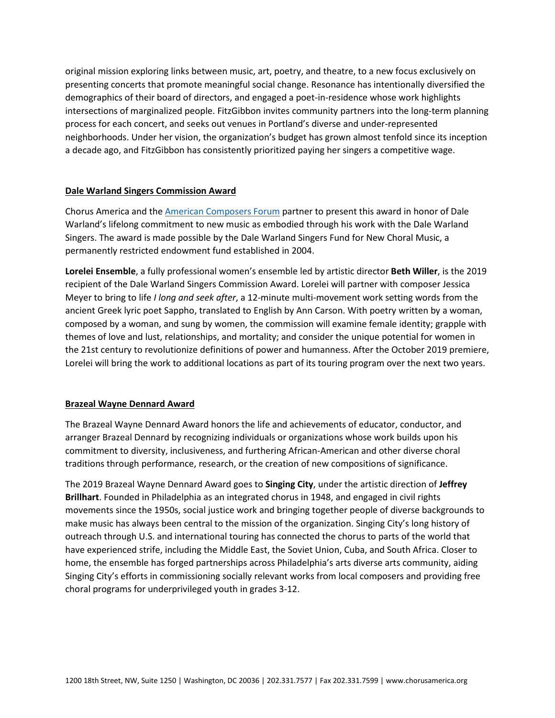original mission exploring links between music, art, poetry, and theatre, to a new focus exclusively on presenting concerts that promote meaningful social change. Resonance has intentionally diversified the demographics of their board of directors, and engaged a poet-in-residence whose work highlights intersections of marginalized people. FitzGibbon invites community partners into the long-term planning process for each concert, and seeks out venues in Portland's diverse and under-represented neighborhoods. Under her vision, the organization's budget has grown almost tenfold since its inception a decade ago, and FitzGibbon has consistently prioritized paying her singers a competitive wage.

## **Dale Warland Singers Commission Award**

Chorus America and the **American Composers Forum** partner to present this award in honor of Dale Warland's lifelong commitment to new music as embodied through his work with the Dale Warland Singers. The award is made possible by the Dale Warland Singers Fund for New Choral Music, a permanently restricted endowment fund established in 2004.

**Lorelei Ensemble**, a fully professional women's ensemble led by artistic director **Beth Willer**, is the 2019 recipient of the Dale Warland Singers Commission Award. Lorelei will partner with composer Jessica Meyer to bring to life *I long and seek after*, a 12-minute multi-movement work setting words from the ancient Greek lyric poet Sappho, translated to English by Ann Carson. With poetry written by a woman, composed by a woman, and sung by women, the commission will examine female identity; grapple with themes of love and lust, relationships, and mortality; and consider the unique potential for women in the 21st century to revolutionize definitions of power and humanness. After the October 2019 premiere, Lorelei will bring the work to additional locations as part of its touring program over the next two years.

## **Brazeal Wayne Dennard Award**

The Brazeal Wayne Dennard Award honors the life and achievements of educator, conductor, and arranger Brazeal Dennard by recognizing individuals or organizations whose work builds upon his commitment to diversity, inclusiveness, and furthering African-American and other diverse choral traditions through performance, research, or the creation of new compositions of significance.

The 2019 Brazeal Wayne Dennard Award goes to **Singing City**, under the artistic direction of **Jeffrey Brillhart**. Founded in Philadelphia as an integrated chorus in 1948, and engaged in civil rights movements since the 1950s, social justice work and bringing together people of diverse backgrounds to make music has always been central to the mission of the organization. Singing City's long history of outreach through U.S. and international touring has connected the chorus to parts of the world that have experienced strife, including the Middle East, the Soviet Union, Cuba, and South Africa. Closer to home, the ensemble has forged partnerships across Philadelphia's arts diverse arts community, aiding Singing City's efforts in commissioning socially relevant works from local composers and providing free choral programs for underprivileged youth in grades 3-12.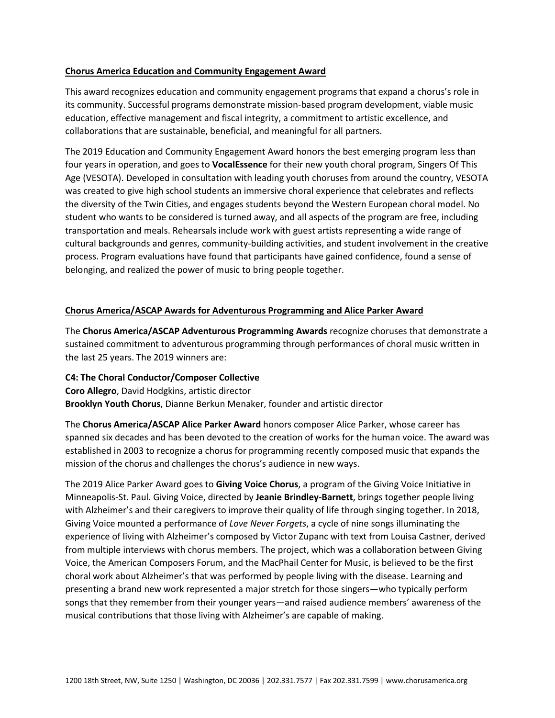#### **Chorus America Education and Community Engagement Award**

This award recognizes education and community engagement programs that expand a chorus's role in its community. Successful programs demonstrate mission-based program development, viable music education, effective management and fiscal integrity, a commitment to artistic excellence, and collaborations that are sustainable, beneficial, and meaningful for all partners.

The 2019 Education and Community Engagement Award honors the best emerging program less than four years in operation, and goes to **VocalEssence** for their new youth choral program, Singers Of This Age (VESOTA). Developed in consultation with leading youth choruses from around the country, VESOTA was created to give high school students an immersive choral experience that celebrates and reflects the diversity of the Twin Cities, and engages students beyond the Western European choral model. No student who wants to be considered is turned away, and all aspects of the program are free, including transportation and meals. Rehearsals include work with guest artists representing a wide range of cultural backgrounds and genres, community-building activities, and student involvement in the creative process. Program evaluations have found that participants have gained confidence, found a sense of belonging, and realized the power of music to bring people together.

#### **Chorus America/ASCAP Awards for Adventurous Programming and Alice Parker Award**

The **Chorus America/ASCAP Adventurous Programming Awards** recognize choruses that demonstrate a sustained commitment to adventurous programming through performances of choral music written in the last 25 years. The 2019 winners are:

**C4: The Choral Conductor/Composer Collective Coro Allegro**, David Hodgkins, artistic director **Brooklyn Youth Chorus**, Dianne Berkun Menaker, founder and artistic director

The **Chorus America/ASCAP Alice Parker Award** honors composer Alice Parker, whose career has spanned six decades and has been devoted to the creation of works for the human voice. The award was established in 2003 to recognize a chorus for programming recently composed music that expands the mission of the chorus and challenges the chorus's audience in new ways.

The 2019 Alice Parker Award goes to **Giving Voice Chorus**, a program of the Giving Voice Initiative in Minneapolis-St. Paul. Giving Voice, directed by **Jeanie Brindley-Barnett**, brings together people living with Alzheimer's and their caregivers to improve their quality of life through singing together. In 2018, Giving Voice mounted a performance of *Love Never Forgets*, a cycle of nine songs illuminating the experience of living with Alzheimer's composed by Victor Zupanc with text from Louisa Castner, derived from multiple interviews with chorus members. The project, which was a collaboration between Giving Voice, the American Composers Forum, and the MacPhail Center for Music, is believed to be the first choral work about Alzheimer's that was performed by people living with the disease. Learning and presenting a brand new work represented a major stretch for those singers—who typically perform songs that they remember from their younger years—and raised audience members' awareness of the musical contributions that those living with Alzheimer's are capable of making.